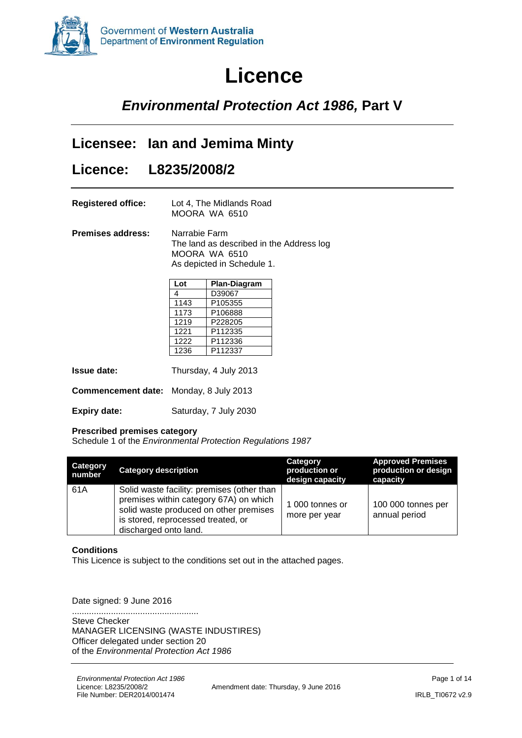

# **Licence**

### *Environmental Protection Act 1986,* **Part V**

### **Licensee: Ian and Jemima Minty**

### **Licence: L8235/2008/2**

| <b>Registered office:</b> | Lot 4, The Midlands Road |
|---------------------------|--------------------------|
|                           | MOORA WA 6510            |

**Premises address:** Narrabie Farm The land as described in the Address log MOORA WA 6510 As depicted in Schedule 1.

| Lot  | Plan-Diagram |
|------|--------------|
| 4    | D39067       |
| 1143 | P105355      |
| 1173 | P106888      |
| 1219 | P228205      |
| 1221 | P112335      |
| 1222 | P112336      |
| 1236 | P112337      |

| <b>Issue date:</b>                            | Thursday, 4 July 2013 |
|-----------------------------------------------|-----------------------|
| <b>Commencement date:</b> Monday, 8 July 2013 |                       |
| <b>Expiry date:</b>                           | Saturday, 7 July 2030 |

#### **Prescribed premises category**

Schedule 1 of the *Environmental Protection Regulations 1987*

| <b>Category</b><br>number | <b>Category description</b>                                                                                                                                                                   | Category<br>production or<br>design capacity | <b>Approved Premises</b><br>production or design<br>capacity |
|---------------------------|-----------------------------------------------------------------------------------------------------------------------------------------------------------------------------------------------|----------------------------------------------|--------------------------------------------------------------|
| 61A                       | Solid waste facility: premises (other than<br>premises within category 67A) on which<br>solid waste produced on other premises<br>is stored, reprocessed treated, or<br>discharged onto land. | 1 000 tonnes or<br>more per year             | 100 000 tonnes per<br>annual period                          |

#### **Conditions**

This Licence is subject to the conditions set out in the attached pages.

Date signed: 9 June 2016

.................................................... Steve Checker MANAGER LICENSING (WASTE INDUSTIRES) Officer delegated under section 20 of the *Environmental Protection Act 1986*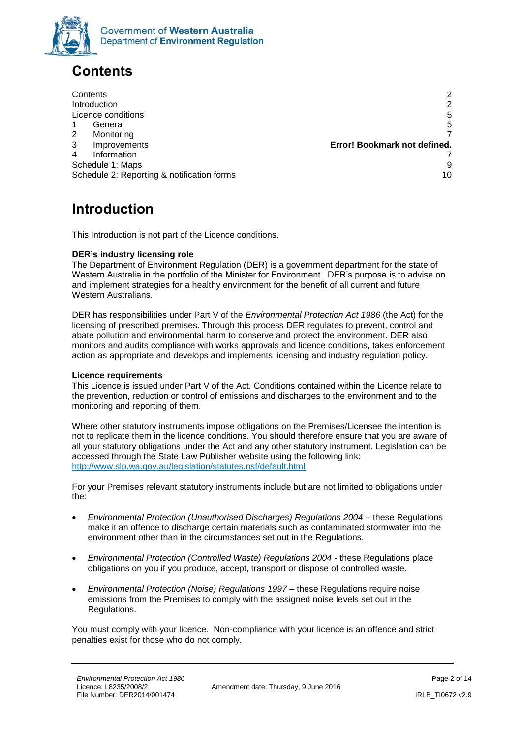

### <span id="page-1-0"></span>**Contents**

[Contents](#page-1-0) 2 **[Introduction](#page-1-1)** 2 [Licence conditions](#page-4-0) 5 1 [General](#page-4-1) 5 2 [Monitoring](#page-6-0) 7 3 Improvements **Error! Bookmark not defined.** 4 [Information](#page-6-1) 7 [Schedule 1: Maps](#page-8-0) 9 [Schedule 2: Reporting & notification forms](#page-9-0) 10 and 10 and 10 and 10 and 10 and 10 and 10 and 10 and 10 and 10 and 10 and 10 and 10 and 10 and 10 and 10 and 10 and 10 and 10 and 10 and 10 and 10 and 10 and 10 and 10 and 10 a

## <span id="page-1-1"></span>**Introduction**

This Introduction is not part of the Licence conditions.

#### **DER's industry licensing role**

The Department of Environment Regulation (DER) is a government department for the state of Western Australia in the portfolio of the Minister for Environment. DER's purpose is to advise on and implement strategies for a healthy environment for the benefit of all current and future Western Australians.

DER has responsibilities under Part V of the *Environmental Protection Act 1986* (the Act) for the licensing of prescribed premises. Through this process DER regulates to prevent, control and abate pollution and environmental harm to conserve and protect the environment. DER also monitors and audits compliance with works approvals and licence conditions, takes enforcement action as appropriate and develops and implements licensing and industry regulation policy.

#### **Licence requirements**

This Licence is issued under Part V of the Act. Conditions contained within the Licence relate to the prevention, reduction or control of emissions and discharges to the environment and to the monitoring and reporting of them.

Where other statutory instruments impose obligations on the Premises/Licensee the intention is not to replicate them in the licence conditions. You should therefore ensure that you are aware of all your statutory obligations under the Act and any other statutory instrument. Legislation can be accessed through the State Law Publisher website using the following link: <http://www.slp.wa.gov.au/legislation/statutes.nsf/default.html>

For your Premises relevant statutory instruments include but are not limited to obligations under the:

- *Environmental Protection (Unauthorised Discharges) Regulations 2004* these Regulations make it an offence to discharge certain materials such as contaminated stormwater into the environment other than in the circumstances set out in the Regulations.
- *Environmental Protection (Controlled Waste) Regulations 2004* these Regulations place obligations on you if you produce, accept, transport or dispose of controlled waste.
- *Environmental Protection (Noise) Regulations 1997*  these Regulations require noise emissions from the Premises to comply with the assigned noise levels set out in the Regulations.

You must comply with your licence. Non-compliance with your licence is an offence and strict penalties exist for those who do not comply.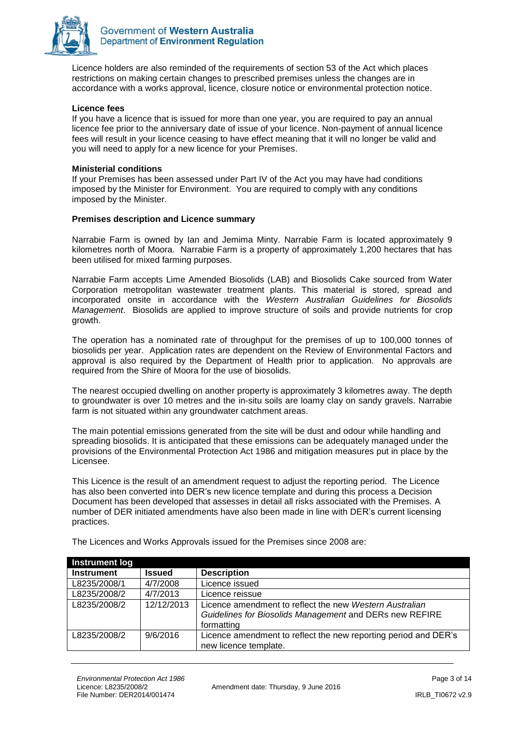

Licence holders are also reminded of the requirements of section 53 of the Act which places restrictions on making certain changes to prescribed premises unless the changes are in accordance with a works approval, licence, closure notice or environmental protection notice.

#### **Licence fees**

If you have a licence that is issued for more than one year, you are required to pay an annual licence fee prior to the anniversary date of issue of your licence. Non-payment of annual licence fees will result in your licence ceasing to have effect meaning that it will no longer be valid and you will need to apply for a new licence for your Premises.

#### **Ministerial conditions**

If your Premises has been assessed under Part IV of the Act you may have had conditions imposed by the Minister for Environment. You are required to comply with any conditions imposed by the Minister.

#### **Premises description and Licence summary**

Narrabie Farm is owned by Ian and Jemima Minty. Narrabie Farm is located approximately 9 kilometres north of Moora. Narrabie Farm is a property of approximately 1,200 hectares that has been utilised for mixed farming purposes.

Narrabie Farm accepts Lime Amended Biosolids (LAB) and Biosolids Cake sourced from Water Corporation metropolitan wastewater treatment plants. This material is stored, spread and incorporated onsite in accordance with the *Western Australian Guidelines for Biosolids Management*. Biosolids are applied to improve structure of soils and provide nutrients for crop growth.

The operation has a nominated rate of throughput for the premises of up to 100,000 tonnes of biosolids per year. Application rates are dependent on the Review of Environmental Factors and approval is also required by the Department of Health prior to application. No approvals are required from the Shire of Moora for the use of biosolids.

The nearest occupied dwelling on another property is approximately 3 kilometres away. The depth to groundwater is over 10 metres and the in-situ soils are loamy clay on sandy gravels. Narrabie farm is not situated within any groundwater catchment areas.

The main potential emissions generated from the site will be dust and odour while handling and spreading biosolids. It is anticipated that these emissions can be adequately managed under the provisions of the Environmental Protection Act 1986 and mitigation measures put in place by the Licensee.

This Licence is the result of an amendment request to adjust the reporting period. The Licence has also been converted into DER's new licence template and during this process a Decision Document has been developed that assesses in detail all risks associated with the Premises. A number of DER initiated amendments have also been made in line with DER's current licensing practices.

| <b>Instrument log</b> |               |                                                                 |
|-----------------------|---------------|-----------------------------------------------------------------|
| <b>Instrument</b>     | <b>Issued</b> | <b>Description</b>                                              |
| L8235/2008/1          | 4/7/2008      | Licence issued                                                  |
| L8235/2008/2          | 4/7/2013      | Licence reissue                                                 |
| L8235/2008/2          | 12/12/2013    | Licence amendment to reflect the new Western Australian         |
|                       |               | Guidelines for Biosolids Management and DERs new REFIRE         |
|                       |               | formatting                                                      |
| L8235/2008/2          | 9/6/2016      | Licence amendment to reflect the new reporting period and DER's |
|                       |               | new licence template.                                           |

The Licences and Works Approvals issued for the Premises since 2008 are: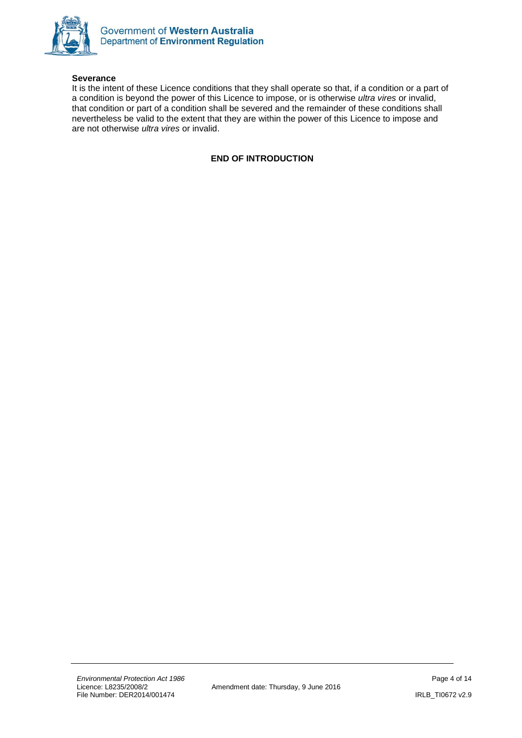

#### **Severance**

It is the intent of these Licence conditions that they shall operate so that, if a condition or a part of a condition is beyond the power of this Licence to impose, or is otherwise *ultra vires* or invalid, that condition or part of a condition shall be severed and the remainder of these conditions shall nevertheless be valid to the extent that they are within the power of this Licence to impose and are not otherwise *ultra vires* or invalid.

#### **END OF INTRODUCTION**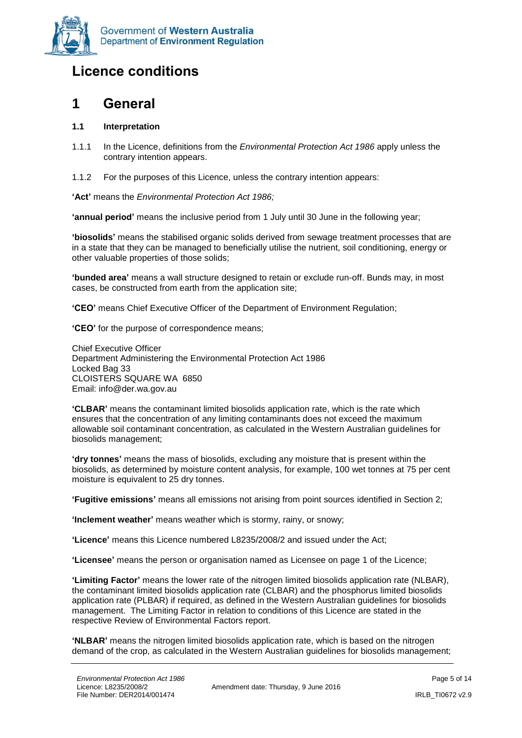

### <span id="page-4-0"></span>**Licence conditions**

### <span id="page-4-1"></span>**1 General**

#### **1.1 Interpretation**

- 1.1.1 In the Licence, definitions from the *Environmental Protection Act 1986* apply unless the contrary intention appears.
- 1.1.2 For the purposes of this Licence, unless the contrary intention appears:

**'Act'** means the *Environmental Protection Act 1986;*

**'annual period'** means the inclusive period from 1 July until 30 June in the following year;

**'biosolids'** means the stabilised organic solids derived from sewage treatment processes that are in a state that they can be managed to beneficially utilise the nutrient, soil conditioning, energy or other valuable properties of those solids;

**'bunded area'** means a wall structure designed to retain or exclude run-off. Bunds may, in most cases, be constructed from earth from the application site;

**'CEO'** means Chief Executive Officer of the Department of Environment Regulation;

**'CEO'** for the purpose of correspondence means;

Chief Executive Officer Department Administering the Environmental Protection Act 1986 Locked Bag 33 CLOISTERS SQUARE WA 6850 Email: info@der.wa.gov.au

**'CLBAR'** means the contaminant limited biosolids application rate, which is the rate which ensures that the concentration of any limiting contaminants does not exceed the maximum allowable soil contaminant concentration, as calculated in the Western Australian guidelines for biosolids management;

**'dry tonnes'** means the mass of biosolids, excluding any moisture that is present within the biosolids, as determined by moisture content analysis, for example, 100 wet tonnes at 75 per cent moisture is equivalent to 25 dry tonnes.

**'Fugitive emissions'** means all emissions not arising from point sources identified in Section 2;

**'Inclement weather'** means weather which is stormy, rainy, or snowy;

**'Licence'** means this Licence numbered L8235/2008/2 and issued under the Act;

**'Licensee'** means the person or organisation named as Licensee on page 1 of the Licence;

**'Limiting Factor'** means the lower rate of the nitrogen limited biosolids application rate (NLBAR), the contaminant limited biosolids application rate (CLBAR) and the phosphorus limited biosolids application rate (PLBAR) if required, as defined in the Western Australian guidelines for biosolids management. The Limiting Factor in relation to conditions of this Licence are stated in the respective Review of Environmental Factors report.

**'NLBAR'** means the nitrogen limited biosolids application rate, which is based on the nitrogen demand of the crop, as calculated in the Western Australian guidelines for biosolids management;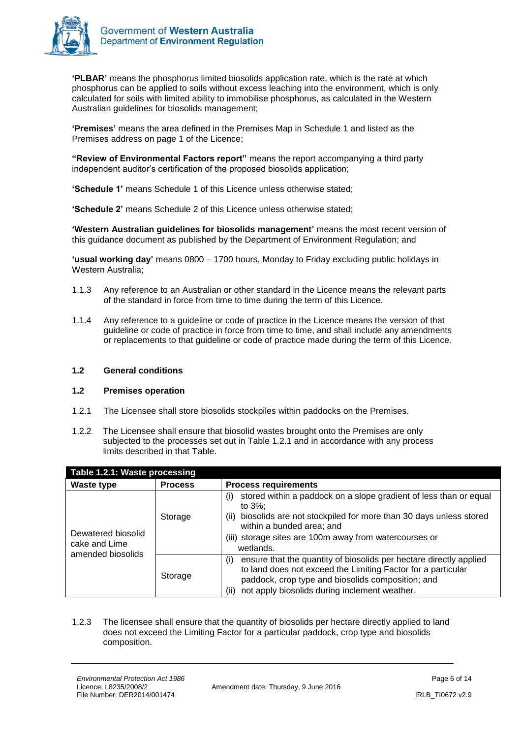

**'PLBAR'** means the phosphorus limited biosolids application rate, which is the rate at which phosphorus can be applied to soils without excess leaching into the environment, which is only calculated for soils with limited ability to immobilise phosphorus, as calculated in the Western Australian guidelines for biosolids management;

**'Premises'** means the area defined in the Premises Map in Schedule 1 and listed as the Premises address on page 1 of the Licence;

**"Review of Environmental Factors report"** means the report accompanying a third party independent auditor's certification of the proposed biosolids application;

**'Schedule 1'** means Schedule 1 of this Licence unless otherwise stated;

**'Schedule 2'** means Schedule 2 of this Licence unless otherwise stated;

**'Western Australian guidelines for biosolids management'** means the most recent version of this guidance document as published by the Department of Environment Regulation; and

**'usual working day'** means 0800 – 1700 hours, Monday to Friday excluding public holidays in Western Australia;

- 1.1.3 Any reference to an Australian or other standard in the Licence means the relevant parts of the standard in force from time to time during the term of this Licence.
- 1.1.4 Any reference to a guideline or code of practice in the Licence means the version of that guideline or code of practice in force from time to time, and shall include any amendments or replacements to that guideline or code of practice made during the term of this Licence.

#### **1.2 General conditions**

#### **1.2 Premises operation**

- 1.2.1 The Licensee shall store biosolids stockpiles within paddocks on the Premises.
- 1.2.2 The Licensee shall ensure that biosolid wastes brought onto the Premises are only subjected to the processes set out in Table 1.2.1 and in accordance with any process limits described in that Table.

| Table 1.2.1: Waste processing       |                                                                                                                                                                                                                                                         |                                                                                                                                                                                                                                                                        |
|-------------------------------------|---------------------------------------------------------------------------------------------------------------------------------------------------------------------------------------------------------------------------------------------------------|------------------------------------------------------------------------------------------------------------------------------------------------------------------------------------------------------------------------------------------------------------------------|
| Waste type                          | <b>Process</b>                                                                                                                                                                                                                                          | <b>Process requirements</b>                                                                                                                                                                                                                                            |
| Dewatered biosolid<br>cake and Lime | Storage                                                                                                                                                                                                                                                 | stored within a paddock on a slope gradient of less than or equal<br>(i)<br>to $3\%$ ;<br>biosolids are not stockpiled for more than 30 days unless stored<br>(ii)<br>within a bunded area; and<br>(iii) storage sites are 100m away from watercourses or<br>wetlands. |
| amended biosolids<br>Storage        | ensure that the quantity of biosolids per hectare directly applied<br>(i)<br>to land does not exceed the Limiting Factor for a particular<br>paddock, crop type and biosolids composition; and<br>not apply biosolids during inclement weather.<br>(ii) |                                                                                                                                                                                                                                                                        |

1.2.3 The licensee shall ensure that the quantity of biosolids per hectare directly applied to land does not exceed the Limiting Factor for a particular paddock, crop type and biosolids composition.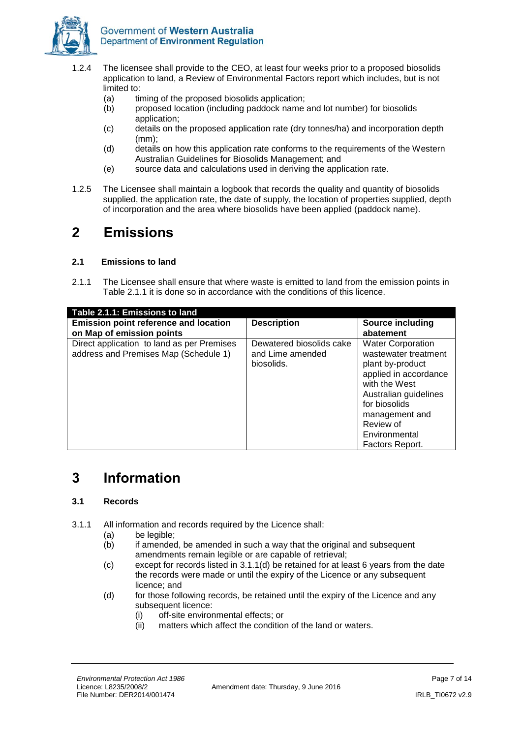

- 1.2.4 The licensee shall provide to the CEO, at least four weeks prior to a proposed biosolids application to land, a Review of Environmental Factors report which includes, but is not limited to:
	- (a) timing of the proposed biosolids application;
	- (b) proposed location (including paddock name and lot number) for biosolids application;
	- (c) details on the proposed application rate (dry tonnes/ha) and incorporation depth (mm);
	- (d) details on how this application rate conforms to the requirements of the Western Australian Guidelines for Biosolids Management; and
	- (e) source data and calculations used in deriving the application rate.
- 1.2.5 The Licensee shall maintain a logbook that records the quality and quantity of biosolids supplied, the application rate, the date of supply, the location of properties supplied, depth of incorporation and the area where biosolids have been applied (paddock name).

### <span id="page-6-0"></span>**2 Emissions**

#### **2.1 Emissions to land**

2.1.1 The Licensee shall ensure that where waste is emitted to land from the emission points in Table 2.1.1 it is done so in accordance with the conditions of this licence.

| Table 2.1.1: Emissions to land                                                      |                                                            |                                                                                                                                                                                                                             |
|-------------------------------------------------------------------------------------|------------------------------------------------------------|-----------------------------------------------------------------------------------------------------------------------------------------------------------------------------------------------------------------------------|
| <b>Emission point reference and location</b><br>on Map of emission points           | <b>Description</b>                                         | <b>Source including</b><br>abatement                                                                                                                                                                                        |
| Direct application to land as per Premises<br>address and Premises Map (Schedule 1) | Dewatered biosolids cake<br>and Lime amended<br>biosolids. | <b>Water Corporation</b><br>wastewater treatment<br>plant by-product<br>applied in accordance<br>with the West<br>Australian guidelines<br>for biosolids<br>management and<br>Review of<br>Environmental<br>Factors Report. |

### <span id="page-6-1"></span>**3 Information**

#### **3.1 Records**

- 3.1.1 All information and records required by the Licence shall:
	- (a) be legible;
	- $(b)$  if amended, be amended in such a way that the original and subsequent amendments remain legible or are capable of retrieval;
	- (c) except for records listed in 3.1.1(d) be retained for at least 6 years from the date the records were made or until the expiry of the Licence or any subsequent licence; and
	- (d) for those following records, be retained until the expiry of the Licence and any subsequent licence:
		- (i) off-site environmental effects; or
		- (ii) matters which affect the condition of the land or waters.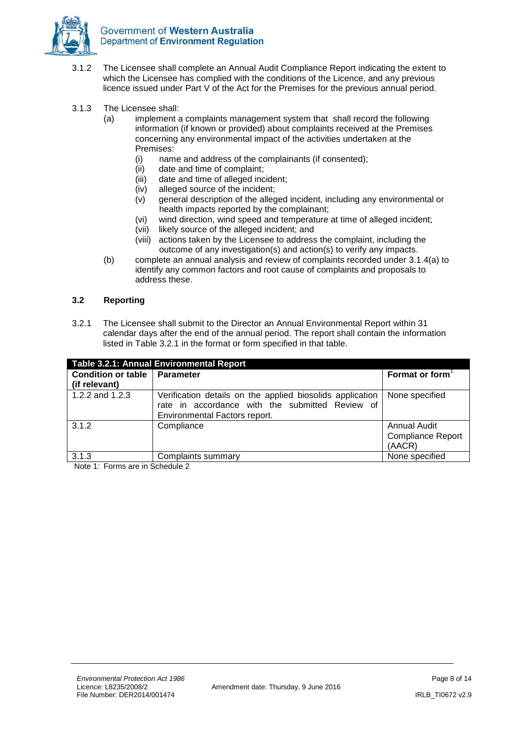

- 3.1.2 The Licensee shall complete an Annual Audit Compliance Report indicating the extent to which the Licensee has complied with the conditions of the Licence, and any previous licence issued under Part V of the Act for the Premises for the previous annual period.
- 3.1.3 The Licensee shall:
	- (a) implement a complaints management system that shall record the following information (if known or provided) about complaints received at the Premises concerning any environmental impact of the activities undertaken at the Premises:
		- (i) name and address of the complainants (if consented);
		- (ii) date and time of complaint;
		- (iii) date and time of alleged incident;
		-
		- (iv) alleged source of the incident;<br>(v) general description of the alleg general description of the alleged incident, including any environmental or health impacts reported by the complainant;
		- (vi) wind direction, wind speed and temperature at time of alleged incident;
		- (vii) likely source of the alleged incident; and
		- (viii) actions taken by the Licensee to address the complaint, including the outcome of any investigation(s) and action(s) to verify any impacts.
	- (b) complete an annual analysis and review of complaints recorded under 3.1.4(a) to identify any common factors and root cause of complaints and proposals to address these.

#### **3.2 Reporting**

3.2.1 The Licensee shall submit to the Director an Annual Environmental Report within 31 calendar days after the end of the annual period. The report shall contain the information listed in Table 3.2.1 in the format or form specified in that table.

| Table 3.2.1: Annual Environmental Report |                                                                                                                                               |                                                           |
|------------------------------------------|-----------------------------------------------------------------------------------------------------------------------------------------------|-----------------------------------------------------------|
| <b>Condition or table</b>                | <b>∣ Parameter</b>                                                                                                                            | Format or form                                            |
| (if relevant)                            |                                                                                                                                               |                                                           |
| 1.2.2 and 1.2.3                          | Verification details on the applied biosolids application<br>rate in accordance with the submitted Review of<br>Environmental Factors report. | None specified                                            |
| 3.1.2                                    | Compliance                                                                                                                                    | <b>Annual Audit</b><br><b>Compliance Report</b><br>(AACR) |
| 3.1.3                                    | Complaints summary                                                                                                                            | None specified                                            |

Note 1: Forms are in Schedule 2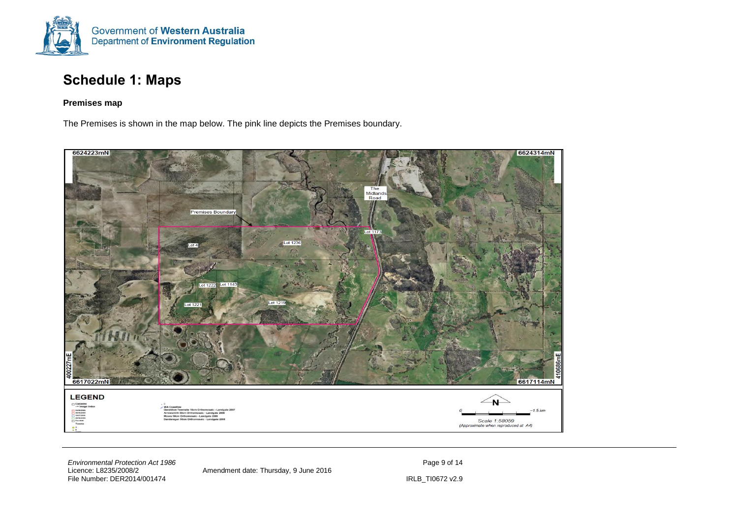

### **Schedule 1: Maps**

#### **Premises map**

The Premises is shown in the map below. The pink line depicts the Premises boundary.

<span id="page-8-0"></span>

*Environmental Protection Act 1986* Page 9 of 14 File Number: DER2014/001474 IRLB\_TI0672 v2.9

Amendment date: Thursday, 9 June 2016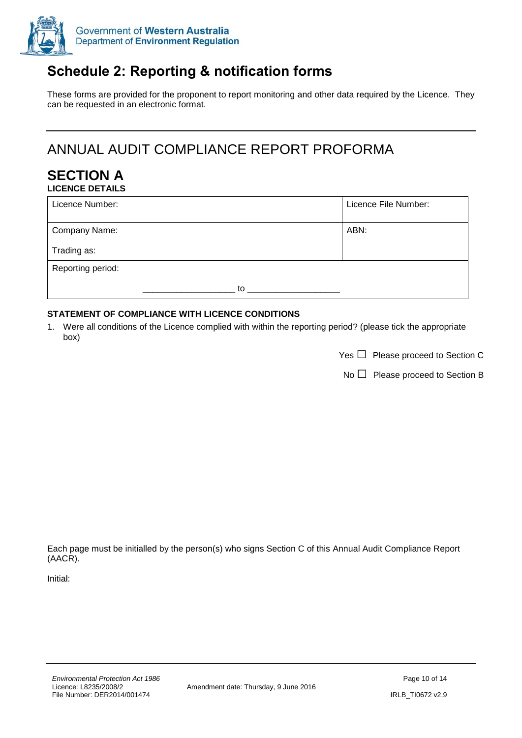

## <span id="page-9-0"></span>**Schedule 2: Reporting & notification forms**

These forms are provided for the proponent to report monitoring and other data required by the Licence. They can be requested in an electronic format.

# ANNUAL AUDIT COMPLIANCE REPORT PROFORMA

#### **SECTION A LICENCE DETAILS**

| Licence Number:   |    | Licence File Number: |
|-------------------|----|----------------------|
| Company Name:     |    | ABN:                 |
| Trading as:       |    |                      |
| Reporting period: |    |                      |
|                   | to |                      |

#### **STATEMENT OF COMPLIANCE WITH LICENCE CONDITIONS**

1. Were all conditions of the Licence complied with within the reporting period? (please tick the appropriate box)

| Yes $\Box$ Please proceed to Section C |  |
|----------------------------------------|--|

 $No \Box$  Please proceed to Section B

Each page must be initialled by the person(s) who signs Section C of this Annual Audit Compliance Report (AACR).

Initial: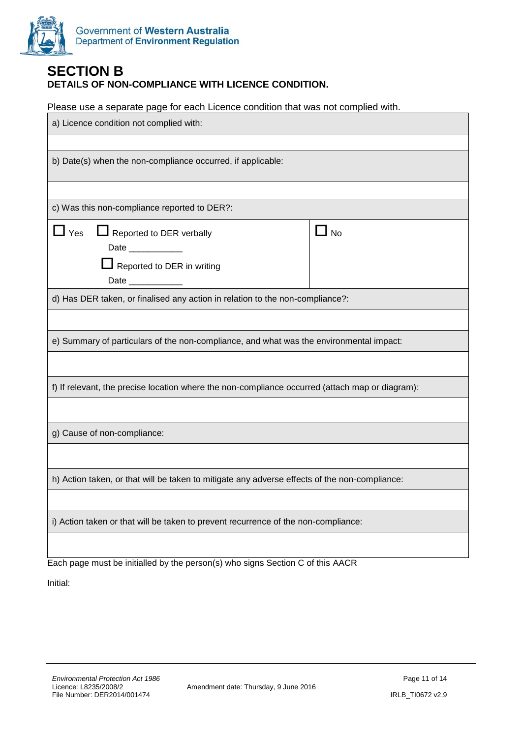

#### **SECTION B DETAILS OF NON-COMPLIANCE WITH LICENCE CONDITION.**

Please use a separate page for each Licence condition that was not complied with.

| a) Licence condition not complied with:                                                                                                                                                                                                                                                                                           |           |  |
|-----------------------------------------------------------------------------------------------------------------------------------------------------------------------------------------------------------------------------------------------------------------------------------------------------------------------------------|-----------|--|
|                                                                                                                                                                                                                                                                                                                                   |           |  |
| b) Date(s) when the non-compliance occurred, if applicable:                                                                                                                                                                                                                                                                       |           |  |
|                                                                                                                                                                                                                                                                                                                                   |           |  |
| c) Was this non-compliance reported to DER?:                                                                                                                                                                                                                                                                                      |           |  |
| $\Box$ Yes<br>Reported to DER verbally<br>Date ___________<br>$\Box$ Reported to DER in writing<br>Date the control of the control of the control of the control of the control of the control of the control of the control of the control of the control of the control of the control of the control of the control of the con | $\Box$ No |  |
| d) Has DER taken, or finalised any action in relation to the non-compliance?:                                                                                                                                                                                                                                                     |           |  |
|                                                                                                                                                                                                                                                                                                                                   |           |  |
| e) Summary of particulars of the non-compliance, and what was the environmental impact:                                                                                                                                                                                                                                           |           |  |
|                                                                                                                                                                                                                                                                                                                                   |           |  |
| f) If relevant, the precise location where the non-compliance occurred (attach map or diagram):                                                                                                                                                                                                                                   |           |  |
|                                                                                                                                                                                                                                                                                                                                   |           |  |
| g) Cause of non-compliance:                                                                                                                                                                                                                                                                                                       |           |  |
|                                                                                                                                                                                                                                                                                                                                   |           |  |
| h) Action taken, or that will be taken to mitigate any adverse effects of the non-compliance:                                                                                                                                                                                                                                     |           |  |
|                                                                                                                                                                                                                                                                                                                                   |           |  |
| i) Action taken or that will be taken to prevent recurrence of the non-compliance:                                                                                                                                                                                                                                                |           |  |
|                                                                                                                                                                                                                                                                                                                                   |           |  |

Each page must be initialled by the person(s) who signs Section C of this AACR

Initial: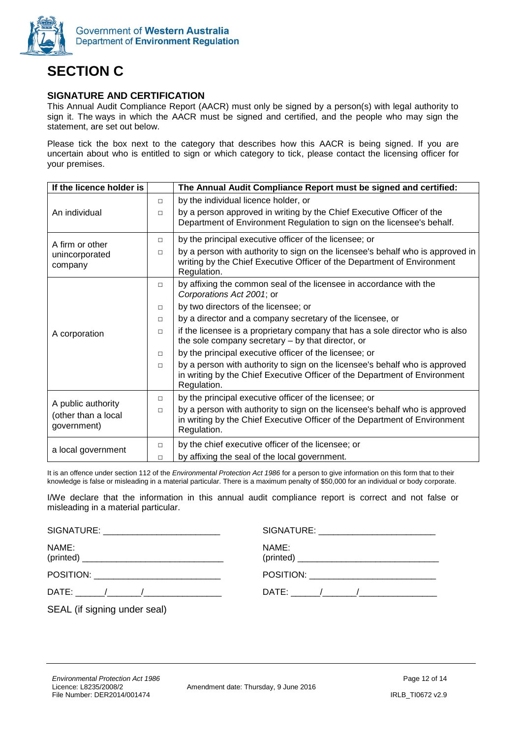

# **SECTION C**

#### **SIGNATURE AND CERTIFICATION**

This Annual Audit Compliance Report (AACR) must only be signed by a person(s) with legal authority to sign it. The ways in which the AACR must be signed and certified, and the people who may sign the statement, are set out below.

Please tick the box next to the category that describes how this AACR is being signed. If you are uncertain about who is entitled to sign or which category to tick, please contact the licensing officer for your premises.

| If the licence holder is                                 |        | The Annual Audit Compliance Report must be signed and certified:                                                                                                         |
|----------------------------------------------------------|--------|--------------------------------------------------------------------------------------------------------------------------------------------------------------------------|
|                                                          | $\Box$ | by the individual licence holder, or                                                                                                                                     |
| An individual                                            | $\Box$ | by a person approved in writing by the Chief Executive Officer of the<br>Department of Environment Regulation to sign on the licensee's behalf.                          |
| A firm or other                                          | $\Box$ | by the principal executive officer of the licensee; or                                                                                                                   |
| unincorporated<br>company                                | $\Box$ | by a person with authority to sign on the licensee's behalf who is approved in<br>writing by the Chief Executive Officer of the Department of Environment<br>Regulation. |
|                                                          | $\Box$ | by affixing the common seal of the licensee in accordance with the<br>Corporations Act 2001; or                                                                          |
|                                                          | $\Box$ | by two directors of the licensee; or                                                                                                                                     |
|                                                          | $\Box$ | by a director and a company secretary of the licensee, or                                                                                                                |
| A corporation                                            | $\Box$ | if the licensee is a proprietary company that has a sole director who is also<br>the sole company secretary - by that director, or                                       |
|                                                          | $\Box$ | by the principal executive officer of the licensee; or                                                                                                                   |
|                                                          | $\Box$ | by a person with authority to sign on the licensee's behalf who is approved<br>in writing by the Chief Executive Officer of the Department of Environment<br>Regulation. |
|                                                          | $\Box$ | by the principal executive officer of the licensee; or                                                                                                                   |
| A public authority<br>(other than a local<br>government) | $\Box$ | by a person with authority to sign on the licensee's behalf who is approved<br>in writing by the Chief Executive Officer of the Department of Environment<br>Regulation. |
|                                                          | $\Box$ | by the chief executive officer of the licensee; or                                                                                                                       |
| a local government                                       | $\Box$ | by affixing the seal of the local government.                                                                                                                            |

It is an offence under section 112 of the *Environmental Protection Act 1986* for a person to give information on this form that to their knowledge is false or misleading in a material particular. There is a maximum penalty of \$50,000 for an individual or body corporate.

I/We declare that the information in this annual audit compliance report is correct and not false or misleading in a material particular.

| SIGNATURE: ___________________________    |       |
|-------------------------------------------|-------|
| NAME:                                     | NAME: |
| POSITION: _______________________________ |       |
|                                           |       |
| SEAL (if signing under seal)              |       |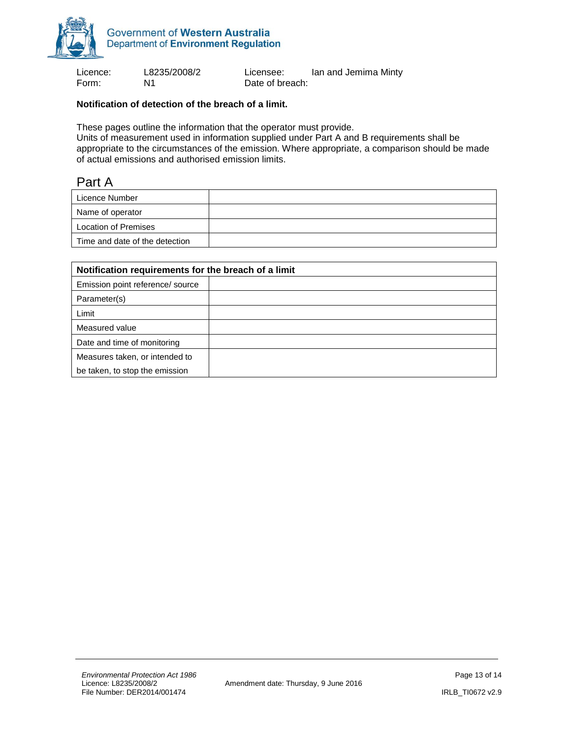

Form: N1 N1 Date of breach:

Licence: L8235/2008/2 Licensee: Ian and Jemima Minty

#### **Notification of detection of the breach of a limit.**

These pages outline the information that the operator must provide.

Units of measurement used in information supplied under Part A and B requirements shall be appropriate to the circumstances of the emission. Where appropriate, a comparison should be made of actual emissions and authorised emission limits.

#### Part A

| Licence Number                 |  |
|--------------------------------|--|
| Name of operator               |  |
| Location of Premises           |  |
| Time and date of the detection |  |

| Notification requirements for the breach of a limit |  |  |  |
|-----------------------------------------------------|--|--|--|
| Emission point reference/ source                    |  |  |  |
| Parameter(s)                                        |  |  |  |
| Limit                                               |  |  |  |
| Measured value                                      |  |  |  |
| Date and time of monitoring                         |  |  |  |
| Measures taken, or intended to                      |  |  |  |
| be taken, to stop the emission                      |  |  |  |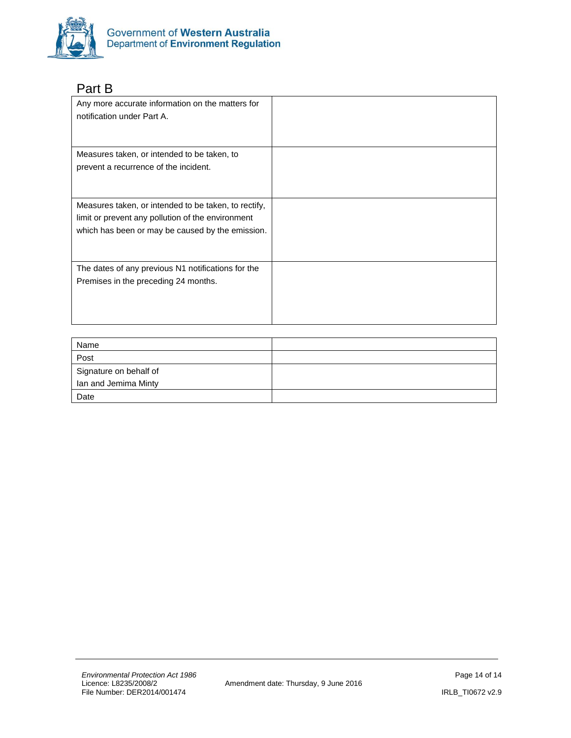

### Part B

| Any more accurate information on the matters for<br>notification under Part A.                                                                                |  |
|---------------------------------------------------------------------------------------------------------------------------------------------------------------|--|
| Measures taken, or intended to be taken, to<br>prevent a recurrence of the incident.                                                                          |  |
| Measures taken, or intended to be taken, to rectify,<br>limit or prevent any pollution of the environment<br>which has been or may be caused by the emission. |  |
| The dates of any previous N1 notifications for the<br>Premises in the preceding 24 months.                                                                    |  |

| Name                   |  |
|------------------------|--|
| Post                   |  |
| Signature on behalf of |  |
| Ian and Jemima Minty   |  |
| Date                   |  |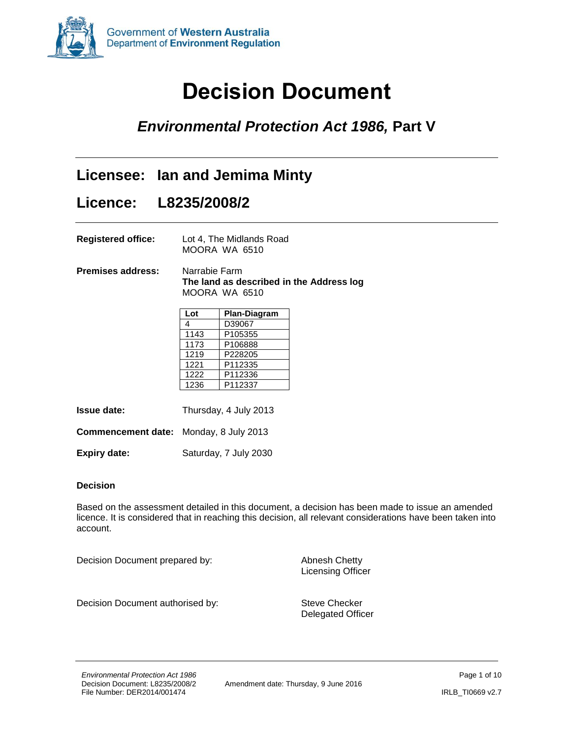<span id="page-14-0"></span>

# **Decision Document**

### *Environmental Protection Act 1986,* **Part V**

### **Licensee: Ian and Jemima Minty**

### **Licence: L8235/2008/2**

**Registered office:** Lot 4, The Midlands Road MOORA WA 6510

**Premises address:** Narrabie Farm **The land as described in the Address log** MOORA WA 6510

| Lot  | Plan-Diagram |
|------|--------------|
| 4    | D39067       |
| 1143 | P105355      |
| 1173 | P106888      |
| 1219 | P228205      |
| 1221 | P112335      |
| 1222 | P112336      |
| 1236 | P112337      |

**Issue date:** Thursday, 4 July 2013

**Commencement date:** Monday, 8 July 2013

| <b>Expiry date:</b> | Saturday, 7 July 2030 |
|---------------------|-----------------------|
|---------------------|-----------------------|

#### **Decision**

Based on the assessment detailed in this document, a decision has been made to issue an amended licence. It is considered that in reaching this decision, all relevant considerations have been taken into account.

Decision Document prepared by: Abnesh Chetty

Licensing Officer

Decision Document authorised by: Steve Checker

Delegated Officer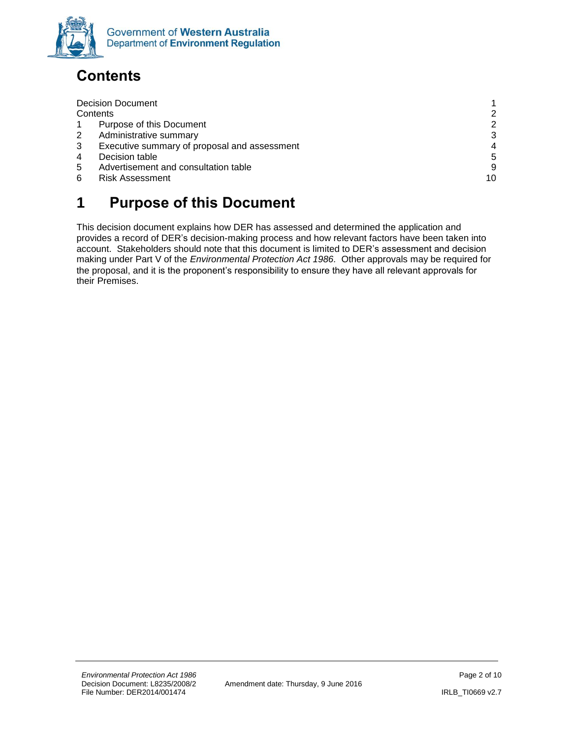

# <span id="page-15-0"></span>**Contents**

|   | <b>Decision Document</b>                     |    |
|---|----------------------------------------------|----|
|   | Contents                                     | 2  |
|   | Purpose of this Document                     | 2  |
| 2 | Administrative summary                       | 3  |
| 3 | Executive summary of proposal and assessment | 4  |
| 4 | Decision table                               | 5  |
| 5 | Advertisement and consultation table         | 9  |
| 6 | <b>Risk Assessment</b>                       | 10 |
|   |                                              |    |

# <span id="page-15-1"></span>**1 Purpose of this Document**

This decision document explains how DER has assessed and determined the application and provides a record of DER's decision-making process and how relevant factors have been taken into account. Stakeholders should note that this document is limited to DER's assessment and decision making under Part V of the *Environmental Protection Act 1986.* Other approvals may be required for the proposal, and it is the proponent's responsibility to ensure they have all relevant approvals for their Premises.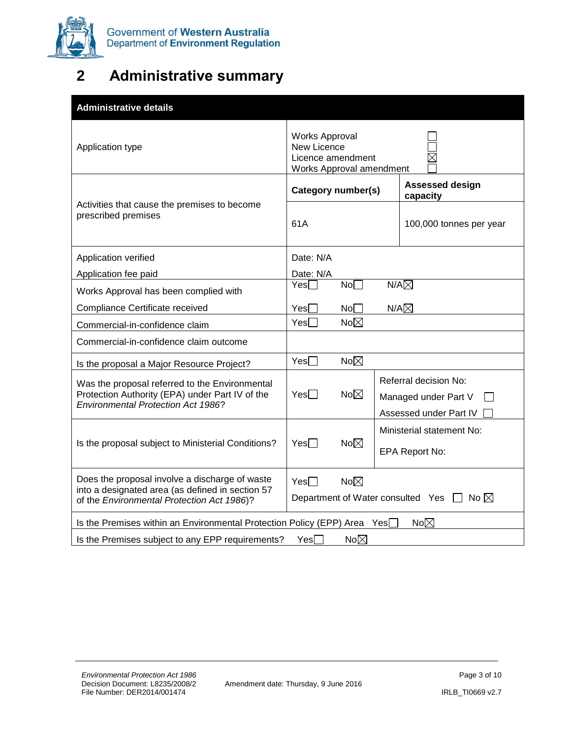

# <span id="page-16-0"></span>**2 Administrative summary**

| <b>Administrative details</b>                                                                                                                    |                                                                                       |                |                                                                         |  |
|--------------------------------------------------------------------------------------------------------------------------------------------------|---------------------------------------------------------------------------------------|----------------|-------------------------------------------------------------------------|--|
| Application type                                                                                                                                 | <b>Works Approval</b><br>New Licence<br>Licence amendment<br>Works Approval amendment |                |                                                                         |  |
|                                                                                                                                                  | Category number(s)                                                                    |                | <b>Assessed design</b><br>capacity                                      |  |
| Activities that cause the premises to become<br>prescribed premises                                                                              | 61A                                                                                   |                | 100,000 tonnes per year                                                 |  |
| Application verified                                                                                                                             | Date: N/A                                                                             |                |                                                                         |  |
| Application fee paid                                                                                                                             | Date: N/A                                                                             |                |                                                                         |  |
| Works Approval has been complied with                                                                                                            | No <sub>1</sub><br>$Yes \Box$                                                         |                | $N/A\nabla$                                                             |  |
| Compliance Certificate received                                                                                                                  | No <sub>1</sub><br>Yes <sup>[</sup>                                                   | $N/A\boxtimes$ |                                                                         |  |
| Commercial-in-confidence claim                                                                                                                   | Yes<br>No $\boxtimes$                                                                 |                |                                                                         |  |
| Commercial-in-confidence claim outcome                                                                                                           |                                                                                       |                |                                                                         |  |
| Is the proposal a Major Resource Project?                                                                                                        | $No\boxtimes$<br>Yes                                                                  |                |                                                                         |  |
| Was the proposal referred to the Environmental<br>Protection Authority (EPA) under Part IV of the<br><b>Environmental Protection Act 1986?</b>   | No $\boxtimes$<br>$Yes \Box$                                                          |                | Referral decision No:<br>Managed under Part V<br>Assessed under Part IV |  |
| Is the proposal subject to Ministerial Conditions?                                                                                               | No $\boxtimes$<br>$Yes \Box$                                                          |                | Ministerial statement No:<br><b>EPA Report No:</b>                      |  |
| Does the proposal involve a discharge of waste<br>into a designated area (as defined in section 57<br>of the Environmental Protection Act 1986)? | $No\boxtimes$<br>$Yes \Box$                                                           |                | Department of Water consulted Yes $\Box$ No $\boxtimes$                 |  |
| No $\boxtimes$<br>Is the Premises within an Environmental Protection Policy (EPP) Area Yes                                                       |                                                                                       |                |                                                                         |  |
| No $\boxtimes$<br>Is the Premises subject to any EPP requirements?<br>Yes                                                                        |                                                                                       |                |                                                                         |  |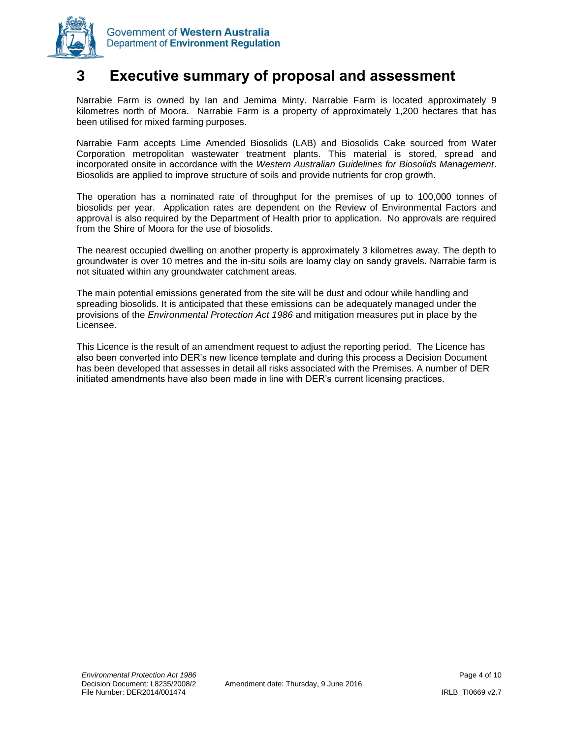

### <span id="page-17-0"></span>**3 Executive summary of proposal and assessment**

Narrabie Farm is owned by Ian and Jemima Minty. Narrabie Farm is located approximately 9 kilometres north of Moora. Narrabie Farm is a property of approximately 1,200 hectares that has been utilised for mixed farming purposes.

Narrabie Farm accepts Lime Amended Biosolids (LAB) and Biosolids Cake sourced from Water Corporation metropolitan wastewater treatment plants. This material is stored, spread and incorporated onsite in accordance with the *Western Australian Guidelines for Biosolids Management*. Biosolids are applied to improve structure of soils and provide nutrients for crop growth.

The operation has a nominated rate of throughput for the premises of up to 100,000 tonnes of biosolids per year. Application rates are dependent on the Review of Environmental Factors and approval is also required by the Department of Health prior to application. No approvals are required from the Shire of Moora for the use of biosolids.

The nearest occupied dwelling on another property is approximately 3 kilometres away. The depth to groundwater is over 10 metres and the in-situ soils are loamy clay on sandy gravels. Narrabie farm is not situated within any groundwater catchment areas.

The main potential emissions generated from the site will be dust and odour while handling and spreading biosolids. It is anticipated that these emissions can be adequately managed under the provisions of the *Environmental Protection Act 1986* and mitigation measures put in place by the Licensee.

This Licence is the result of an amendment request to adjust the reporting period. The Licence has also been converted into DER's new licence template and during this process a Decision Document has been developed that assesses in detail all risks associated with the Premises. A number of DER initiated amendments have also been made in line with DER's current licensing practices.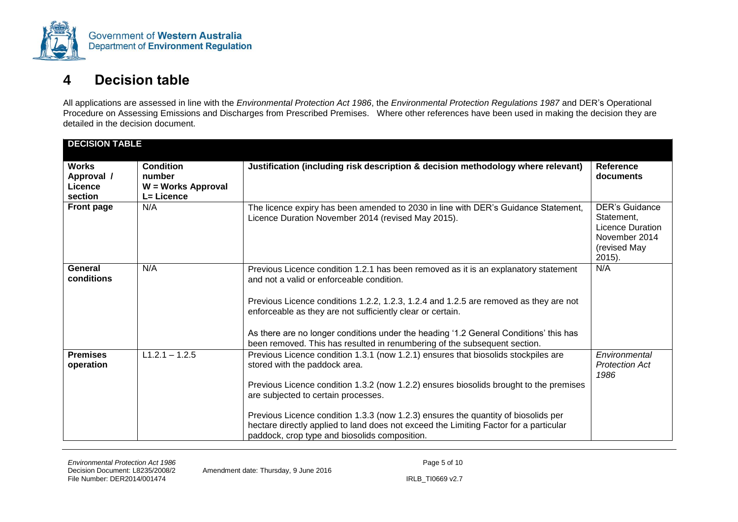

### **4 Decision table**

All applications are assessed in line with the *Environmental Protection Act 1986*, the *Environmental Protection Regulations 1987* and DER's Operational Procedure on Assessing Emissions and Discharges from Prescribed Premises. Where other references have been used in making the decision they are detailed in the decision document.

<span id="page-18-0"></span>

| <b>DECISION TABLE</b>                            |                                                                |                                                                                                                                                                                                                                                                                                                                                                                                                                                                                      |                                                                                                           |
|--------------------------------------------------|----------------------------------------------------------------|--------------------------------------------------------------------------------------------------------------------------------------------------------------------------------------------------------------------------------------------------------------------------------------------------------------------------------------------------------------------------------------------------------------------------------------------------------------------------------------|-----------------------------------------------------------------------------------------------------------|
| <b>Works</b><br>Approval /<br>Licence<br>section | <b>Condition</b><br>number<br>W = Works Approval<br>L= Licence | Justification (including risk description & decision methodology where relevant)                                                                                                                                                                                                                                                                                                                                                                                                     | <b>Reference</b><br>documents                                                                             |
| <b>Front page</b>                                | N/A                                                            | The licence expiry has been amended to 2030 in line with DER's Guidance Statement,<br>Licence Duration November 2014 (revised May 2015).                                                                                                                                                                                                                                                                                                                                             | <b>DER's Guidance</b><br>Statement,<br><b>Licence Duration</b><br>November 2014<br>(revised May<br>2015). |
| General<br>conditions                            | N/A                                                            | Previous Licence condition 1.2.1 has been removed as it is an explanatory statement<br>and not a valid or enforceable condition.<br>Previous Licence conditions 1.2.2, 1.2.3, 1.2.4 and 1.2.5 are removed as they are not<br>enforceable as they are not sufficiently clear or certain.<br>As there are no longer conditions under the heading '1.2 General Conditions' this has<br>been removed. This has resulted in renumbering of the subsequent section.                        | N/A                                                                                                       |
| <b>Premises</b><br>operation                     | $L1.2.1 - 1.2.5$                                               | Previous Licence condition 1.3.1 (now 1.2.1) ensures that biosolids stockpiles are<br>stored with the paddock area.<br>Previous Licence condition 1.3.2 (now 1.2.2) ensures biosolids brought to the premises<br>are subjected to certain processes.<br>Previous Licence condition 1.3.3 (now 1.2.3) ensures the quantity of biosolids per<br>hectare directly applied to land does not exceed the Limiting Factor for a particular<br>paddock, crop type and biosolids composition. | Environmental<br><b>Protection Act</b><br>1986                                                            |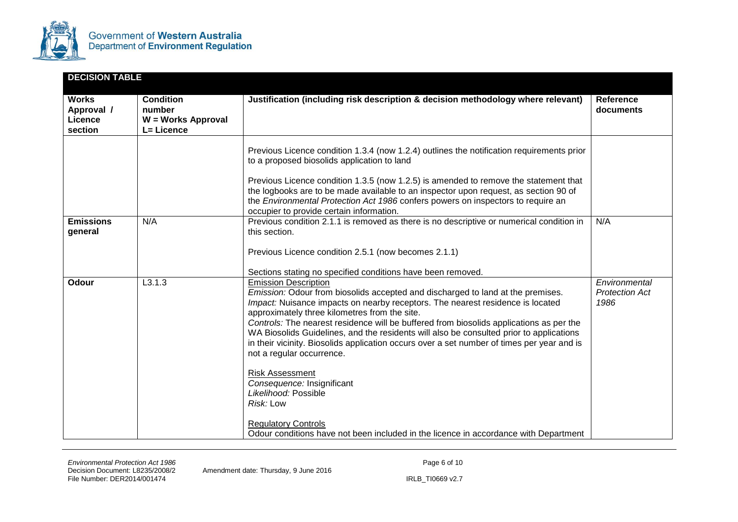

| <b>DECISION TABLE</b>                            |                                                                |                                                                                                                                                                                                                                                                                                                                                                                                                                                                                                                                                                                                                                                                                                                                                                                       |                                                |
|--------------------------------------------------|----------------------------------------------------------------|---------------------------------------------------------------------------------------------------------------------------------------------------------------------------------------------------------------------------------------------------------------------------------------------------------------------------------------------------------------------------------------------------------------------------------------------------------------------------------------------------------------------------------------------------------------------------------------------------------------------------------------------------------------------------------------------------------------------------------------------------------------------------------------|------------------------------------------------|
| <b>Works</b><br>Approval /<br>Licence<br>section | <b>Condition</b><br>number<br>W = Works Approval<br>L= Licence | Justification (including risk description & decision methodology where relevant)                                                                                                                                                                                                                                                                                                                                                                                                                                                                                                                                                                                                                                                                                                      | <b>Reference</b><br>documents                  |
|                                                  |                                                                | Previous Licence condition 1.3.4 (now 1.2.4) outlines the notification requirements prior<br>to a proposed biosolids application to land<br>Previous Licence condition 1.3.5 (now 1.2.5) is amended to remove the statement that<br>the logbooks are to be made available to an inspector upon request, as section 90 of<br>the Environmental Protection Act 1986 confers powers on inspectors to require an<br>occupier to provide certain information.                                                                                                                                                                                                                                                                                                                              |                                                |
| <b>Emissions</b><br>general                      | N/A                                                            | Previous condition 2.1.1 is removed as there is no descriptive or numerical condition in<br>this section.<br>Previous Licence condition 2.5.1 (now becomes 2.1.1)<br>Sections stating no specified conditions have been removed.                                                                                                                                                                                                                                                                                                                                                                                                                                                                                                                                                      | N/A                                            |
| Odour                                            | L3.1.3                                                         | <b>Emission Description</b><br>Emission: Odour from biosolids accepted and discharged to land at the premises.<br>Impact: Nuisance impacts on nearby receptors. The nearest residence is located<br>approximately three kilometres from the site.<br>Controls: The nearest residence will be buffered from biosolids applications as per the<br>WA Biosolids Guidelines, and the residents will also be consulted prior to applications<br>in their vicinity. Biosolids application occurs over a set number of times per year and is<br>not a regular occurrence.<br><b>Risk Assessment</b><br>Consequence: Insignificant<br>Likelihood: Possible<br>Risk: Low<br><b>Regulatory Controls</b><br>Odour conditions have not been included in the licence in accordance with Department | Environmental<br><b>Protection Act</b><br>1986 |

Amendment date: Thursday, 9 June 2016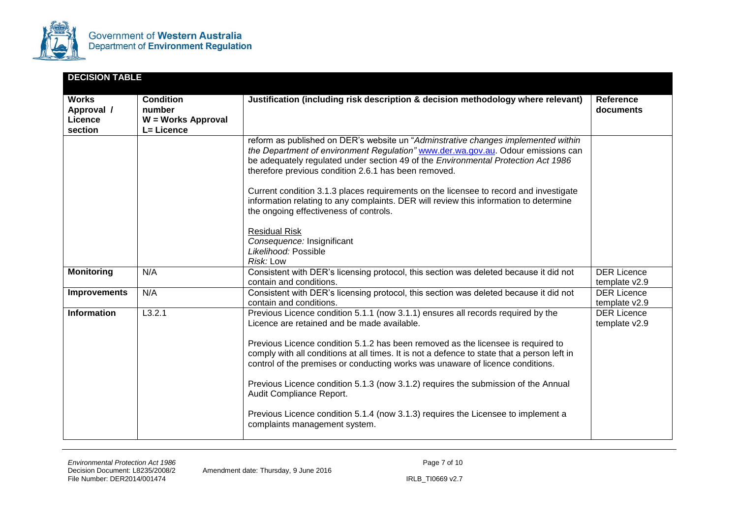

| <b>DECISION TABLE</b>                            |                                                                |                                                                                                                                                                                                                                                                                                                                                                                                                                                                                                                                                                                                                                              |                                     |
|--------------------------------------------------|----------------------------------------------------------------|----------------------------------------------------------------------------------------------------------------------------------------------------------------------------------------------------------------------------------------------------------------------------------------------------------------------------------------------------------------------------------------------------------------------------------------------------------------------------------------------------------------------------------------------------------------------------------------------------------------------------------------------|-------------------------------------|
| <b>Works</b><br>Approval /<br>Licence<br>section | <b>Condition</b><br>number<br>W = Works Approval<br>L= Licence | Justification (including risk description & decision methodology where relevant)                                                                                                                                                                                                                                                                                                                                                                                                                                                                                                                                                             | <b>Reference</b><br>documents       |
|                                                  |                                                                | reform as published on DER's website un "Adminstrative changes implemented within<br>the Department of environment Regulation" www.der.wa.gov.au. Odour emissions can<br>be adequately regulated under section 49 of the Environmental Protection Act 1986<br>therefore previous condition 2.6.1 has been removed.<br>Current condition 3.1.3 places requirements on the licensee to record and investigate<br>information relating to any complaints. DER will review this information to determine<br>the ongoing effectiveness of controls.<br><b>Residual Risk</b><br>Consequence: Insignificant<br>Likelihood: Possible<br>Risk: Low    |                                     |
| <b>Monitoring</b>                                | N/A                                                            | Consistent with DER's licensing protocol, this section was deleted because it did not<br>contain and conditions.                                                                                                                                                                                                                                                                                                                                                                                                                                                                                                                             | <b>DER Licence</b><br>template v2.9 |
| <b>Improvements</b>                              | N/A                                                            | Consistent with DER's licensing protocol, this section was deleted because it did not<br>contain and conditions.                                                                                                                                                                                                                                                                                                                                                                                                                                                                                                                             | <b>DER Licence</b><br>template v2.9 |
| <b>Information</b>                               | L3.2.1                                                         | Previous Licence condition 5.1.1 (now 3.1.1) ensures all records required by the<br>Licence are retained and be made available.<br>Previous Licence condition 5.1.2 has been removed as the licensee is required to<br>comply with all conditions at all times. It is not a defence to state that a person left in<br>control of the premises or conducting works was unaware of licence conditions.<br>Previous Licence condition 5.1.3 (now 3.1.2) requires the submission of the Annual<br>Audit Compliance Report.<br>Previous Licence condition 5.1.4 (now 3.1.3) requires the Licensee to implement a<br>complaints management system. | <b>DER Licence</b><br>template v2.9 |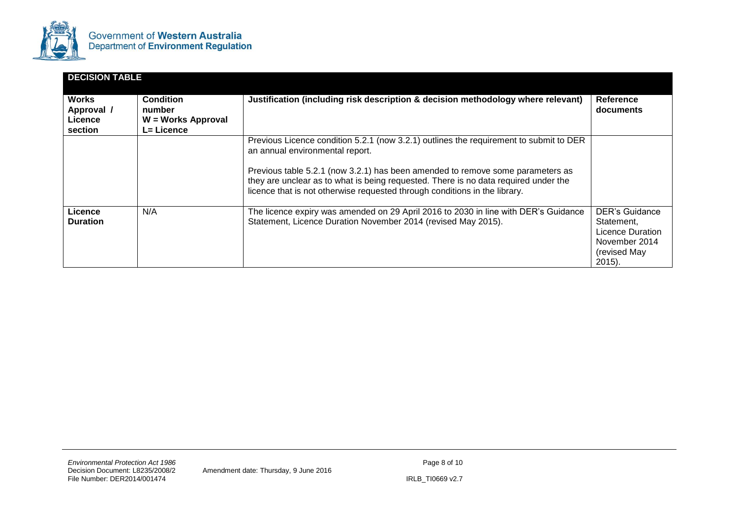

| <b>DECISION TABLE</b>                            |                                                                |                                                                                                                                                                                                                                                                                                                                                                                  |                                                                                                |
|--------------------------------------------------|----------------------------------------------------------------|----------------------------------------------------------------------------------------------------------------------------------------------------------------------------------------------------------------------------------------------------------------------------------------------------------------------------------------------------------------------------------|------------------------------------------------------------------------------------------------|
| <b>Works</b><br>Approval /<br>Licence<br>section | <b>Condition</b><br>number<br>W = Works Approval<br>L= Licence | Justification (including risk description & decision methodology where relevant)                                                                                                                                                                                                                                                                                                 | Reference<br>documents                                                                         |
|                                                  |                                                                | Previous Licence condition 5.2.1 (now 3.2.1) outlines the requirement to submit to DER<br>an annual environmental report.<br>Previous table 5.2.1 (now 3.2.1) has been amended to remove some parameters as<br>they are unclear as to what is being requested. There is no data required under the<br>licence that is not otherwise requested through conditions in the library. |                                                                                                |
| Licence<br><b>Duration</b>                       | N/A                                                            | The licence expiry was amended on 29 April 2016 to 2030 in line with DER's Guidance<br>Statement, Licence Duration November 2014 (revised May 2015).                                                                                                                                                                                                                             | DER's Guidance<br>Statement,<br>Licence Duration<br>November 2014<br>(revised May<br>$2015$ ). |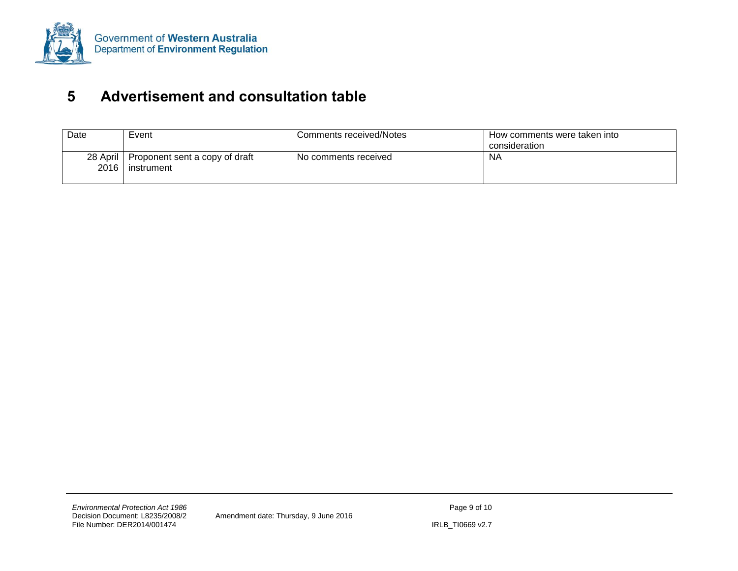

### **5 Advertisement and consultation table**

<span id="page-22-0"></span>

| Date             | Event                                        | <b>Comments received/Notes</b> | How comments were taken into<br>consideration |
|------------------|----------------------------------------------|--------------------------------|-----------------------------------------------|
| 28 April<br>2016 | Proponent sent a copy of draft<br>instrument | No comments received           | <b>NA</b>                                     |